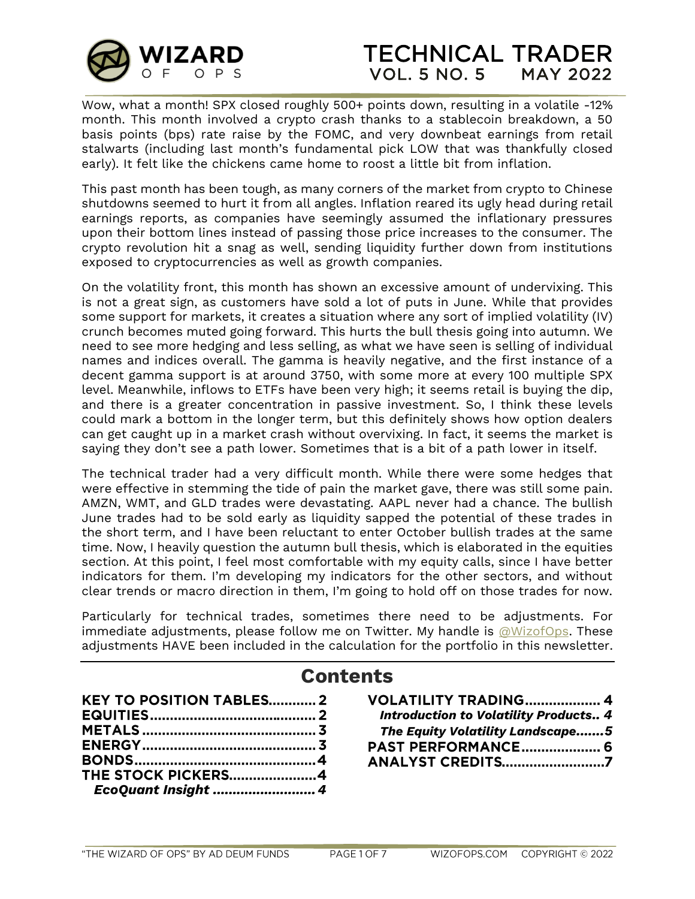

Wow, what a month! SPX closed roughly 500+ points down, resulting in a volatile -12% month. This month involved a crypto crash thanks to a stablecoin breakdown, a 50 basis points (bps) rate raise by the FOMC, and very downbeat earnings from retail stalwarts (including last month's fundamental pick LOW that was thankfully closed early). It felt like the chickens came home to roost a little bit from inflation.

This past month has been tough, as many corners of the market from crypto to Chinese shutdowns seemed to hurt it from all angles. Inflation reared its ugly head during retail earnings reports, as companies have seemingly assumed the inflationary pressures upon their bottom lines instead of passing those price increases to the consumer. The crypto revolution hit a snag as well, sending liquidity further down from institutions exposed to cryptocurrencies as well as growth companies.

On the volatility front, this month has shown an excessive amount of undervixing. This is not a great sign, as customers have sold a lot of puts in June. While that provides some support for markets, it creates a situation where any sort of implied volatility (IV) crunch becomes muted going forward. This hurts the bull thesis going into autumn. We need to see more hedging and less selling, as what we have seen is selling of individual names and indices overall. The gamma is heavily negative, and the first instance of a decent gamma support is at around 3750, with some more at every 100 multiple SPX level. Meanwhile, inflows to ETFs have been very high; it seems retail is buying the dip, and there is a greater concentration in passive investment. So, I think these levels could mark a bottom in the longer term, but this definitely shows how option dealers can get caught up in a market crash without overvixing. In fact, it seems the market is saying they don't see a path lower. Sometimes that is a bit of a path lower in itself.

The technical trader had a very difficult month. While there were some hedges that were effective in stemming the tide of pain the market gave, there was still some pain. AMZN, WMT, and GLD trades were devastating. AAPL never had a chance. The bullish June trades had to be sold early as liquidity sapped the potential of these trades in the short term, and I have been reluctant to enter October bullish trades at the same time. Now, I heavily question the autumn bull thesis, which is elaborated in the equities section. At this point, I feel most comfortable with my equity calls, since I have better indicators for them. I'm developing my indicators for the other sectors, and without clear trends or macro direction in them, I'm going to hold off on those trades for now.

Particularly for technical trades, sometimes there need to be adjustments. For immediate adjustments, please follow me on Twitter. My handle is  $\omega$ WizofOps. These adjustments HAVE been included in the calculation for the portfolio in this newsletter.

# **Contents**

| <b>KEY TO POSITION TABLES 2</b> |  |
|---------------------------------|--|
|                                 |  |
|                                 |  |
|                                 |  |
|                                 |  |
| <b>THE STOCK PICKERS 4</b>      |  |
| EcoQuant Insight  4             |  |

| <b>VOLATILITY TRADING 4</b>                  |  |
|----------------------------------------------|--|
| <b>Introduction to Volatility Products 4</b> |  |
| The Equity Volatility Landscape5             |  |
| <b>PAST PERFORMANCE 6</b>                    |  |
| <b>ANALYST CREDITS7</b>                      |  |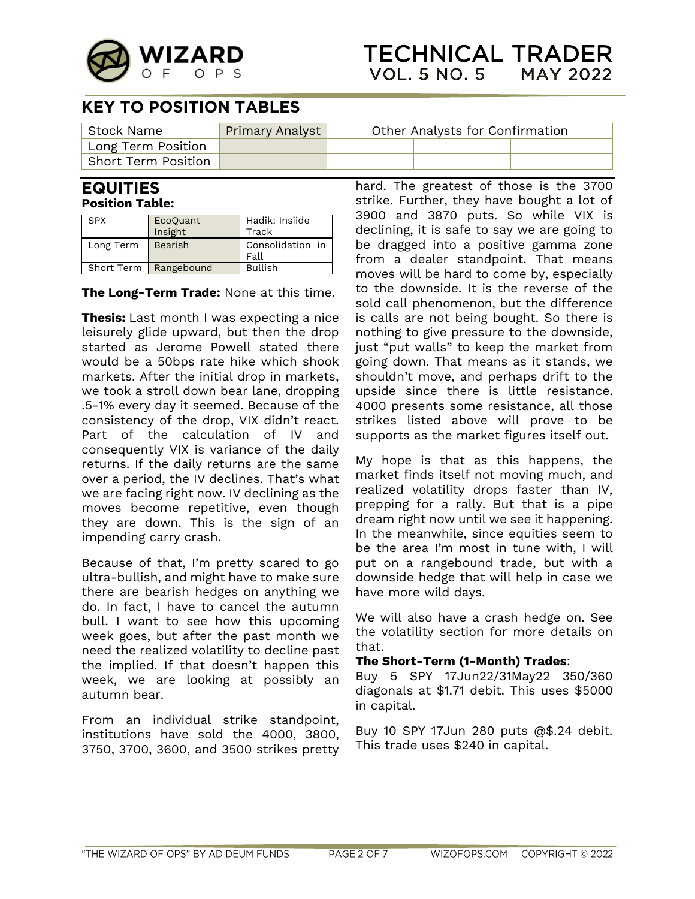

# **KEY TO POSITION TABLES**

| <sup> </sup> Stock Name       | <b>Primary Analyst</b> | Other Analysts for Confirmation |  |  |
|-------------------------------|------------------------|---------------------------------|--|--|
| $\mathsf{Long}$ Term Position |                        |                                 |  |  |
| <b>Short Term Position</b>    |                        |                                 |  |  |

#### **EQUITIES Position Table:**

| SPX       | EcoQuant<br>Insight     | Hadik: Insiide<br>Track  |
|-----------|-------------------------|--------------------------|
| Long Term | Bearish                 | Consolidation in<br>Fall |
|           | Short Term   Rangebound | <b>Bullish</b>           |

**The Long-Term Trade:** None at this time.

**Thesis:** Last month I was expecting a nice leisurely glide upward, but then the drop started as Jerome Powell stated there would be a 50bps rate hike which shook markets. After the initial drop in markets, we took a stroll down bear lane, dropping .5-1% every day it seemed. Because of the consistency of the drop, VIX didn't react. Part of the calculation of IV and consequently VIX is variance of the daily returns. If the daily returns are the same over a period, the IV declines. That's what we are facing right now. IV declining as the moves become repetitive, even though they are down. This is the sign of an impending carry crash.

Because of that, I'm pretty scared to go ultra-bullish, and might have to make sure there are bearish hedges on anything we do. In fact, I have to cancel the autumn bull. I want to see how this upcoming week goes, but after the past month we need the realized volatility to decline past the implied. If that doesn't happen this week, we are looking at possibly an autumn bear.

From an individual strike standpoint, institutions have sold the 4000, 3800, 3750, 3700, 3600, and 3500 strikes pretty

hard. The greatest of those is the 3700 strike. Further, they have bought a lot of 3900 and 3870 puts. So while VIX is declining, it is safe to say we are going to be dragged into a positive gamma zone from a dealer standpoint. That means moves will be hard to come by, especially to the downside. It is the reverse of the sold call phenomenon, but the difference is calls are not being bought. So there is nothing to give pressure to the downside, just "put walls" to keep the market from going down. That means as it stands, we shouldn't move, and perhaps drift to the upside since there is little resistance. 4000 presents some resistance, all those strikes listed above will prove to be supports as the market figures itself out.

My hope is that as this happens, the market finds itself not moving much, and realized volatility drops faster than IV, prepping for a rally. But that is a pipe dream right now until we see it happening. In the meanwhile, since equities seem to be the area I'm most in tune with, I will put on a rangebound trade, but with a downside hedge that will help in case we have more wild days.

We will also have a crash hedge on. See the volatility section for more details on that.

#### **The Short-Term (1-Month) Trades**:

Buy 5 SPY 17Jun22/31May22 350/360 diagonals at \$1.71 debit. This uses \$5000 in capital.

Buy 10 SPY 17Jun 280 puts @\$.24 debit. This trade uses \$240 in capital.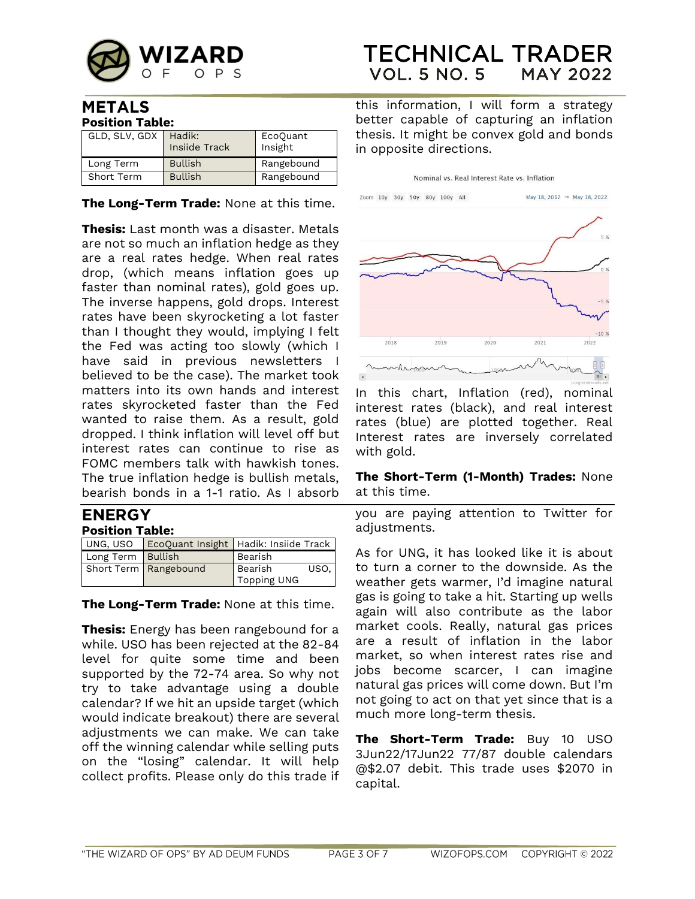

### **METALS Position Table:**

| GLD, SLV, GDX | Hadik:<br>Insiide Track | EcoQuant<br>Insight |  |
|---------------|-------------------------|---------------------|--|
| Long Term     | <b>Bullish</b>          | Rangebound          |  |
| Short Term    | <b>Bullish</b>          | Rangebound          |  |

### **The Long-Term Trade:** None at this time.

**Thesis:** Last month was a disaster. Metals are not so much an inflation hedge as they are a real rates hedge. When real rates drop, (which means inflation goes up faster than nominal rates), gold goes up. The inverse happens, gold drops. Interest rates have been skyrocketing a lot faster than I thought they would, implying I felt the Fed was acting too slowly (which I have said in previous newsletters I believed to be the case). The market took matters into its own hands and interest rates skyrocketed faster than the Fed wanted to raise them. As a result, gold dropped. I think inflation will level off but interest rates can continue to rise as FOMC members talk with hawkish tones. The true inflation hedge is bullish metals, bearish bonds in a 1-1 ratio. As I absorb

#### **ENERGY Position Table:**

|                   | UNG, USO EcoQuant Insight   Hadik: Insiide Track |                        |      |
|-------------------|--------------------------------------------------|------------------------|------|
| Long Term Bullish |                                                  | Bearish                |      |
|                   | Short Term   Rangebound                          | Bearish<br>Topping UNG | USO. |

**The Long-Term Trade:** None at this time.

**Thesis:** Energy has been rangebound for a while. USO has been rejected at the 82-84 level for quite some time and been supported by the 72-74 area. So why not try to take advantage using a double calendar? If we hit an upside target (which would indicate breakout) there are several adjustments we can make. We can take off the winning calendar while selling puts on the "losing" calendar. It will help collect profits. Please only do this trade if

### **TECHNICAL TRADER VOL. 5 NO. 5 MAY 2022**

this information, I will form a strategy better capable of capturing an inflation thesis. It might be convex gold and bonds in opposite directions.

Nominal vs. Real Interest Rate vs. Inflation



In this chart, Inflation (red), nominal interest rates (black), and real interest rates (blue) are plotted together. Real Interest rates are inversely correlated with gold.

#### **The Short-Term (1-Month) Trades:** None at this time.

you are paying attention to Twitter for adjustments.

As for UNG, it has looked like it is about to turn a corner to the downside. As the weather gets warmer, I'd imagine natural gas is going to take a hit. Starting up wells again will also contribute as the labor market cools. Really, natural gas prices are a result of inflation in the labor market, so when interest rates rise and jobs become scarcer, I can imagine natural gas prices will come down. But I'm not going to act on that yet since that is a much more long-term thesis.

**The Short-Term Trade:** Buy 10 USO 3Jun22/17Jun22 77/87 double calendars @\$2.07 debit. This trade uses \$2070 in capital.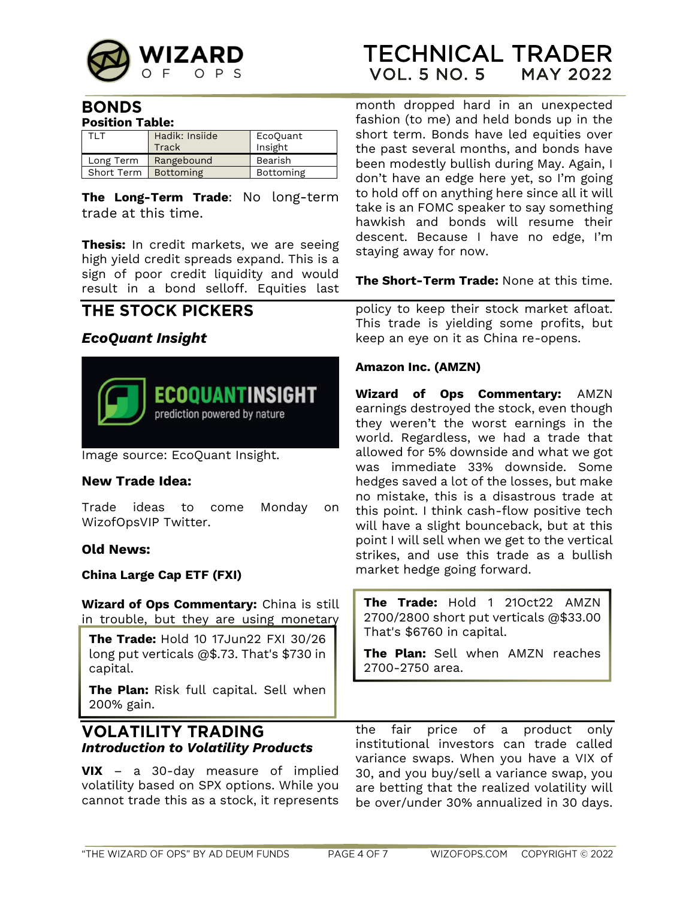

### **BONDS Position Table:**

| TI T                   | Hadik: Insiide | EcoQuant  |  |  |
|------------------------|----------------|-----------|--|--|
|                        | Track          | Insight   |  |  |
| Long Term              | Rangebound     | Bearish   |  |  |
| Short Term   Bottoming |                | Bottoming |  |  |

**The Long-Term Trade**: No long-term trade at this time.

**Thesis:** In credit markets, we are seeing high yield credit spreads expand. This is a sign of poor credit liquidity and would result in a bond selloff. Equities last

# THE STOCK PICKERS

# <span id="page-3-0"></span>*EcoQuant Insight*



Image source: EcoQuant Insight.

### **New Trade Idea:**

Trade ideas to come Monday on WizofOpsVIP Twitter.

### **Old News:**

**China Large Cap ETF (FXI)**

**Wizard of Ops Commentary:** China is still in trouble, but they are using monetary

**The Trade:** Hold 10 17Jun22 FXI 30/26 long put verticals @\$.73. That's \$730 in capital.

**The Plan:** Risk full capital. Sell when 200% gain.

## <span id="page-3-1"></span>**VOLATILITY TRADING** *Introduction to Volatility Products*

**VIX** – a 30-day measure of implied volatility based on SPX options. While you cannot trade this as a stock, it represents month dropped hard in an unexpected fashion (to me) and held bonds up in the short term. Bonds have led equities over the past several months, and bonds have been modestly bullish during May. Again, I don't have an edge here yet, so I'm going to hold off on anything here since all it will take is an FOMC speaker to say something hawkish and bonds will resume their descent. Because I have no edge, I'm staying away for now.

**The Short-Term Trade:** None at this time.

policy to keep their stock market afloat. This trade is yielding some profits, but keep an eye on it as China re-opens.

#### **Amazon Inc. (AMZN)**

**Wizard of Ops Commentary:** AMZN earnings destroyed the stock, even though they weren't the worst earnings in the world. Regardless, we had a trade that allowed for 5% downside and what we got was immediate 33% downside. Some hedges saved a lot of the losses, but make no mistake, this is a disastrous trade at this point. I think cash-flow positive tech will have a slight bounceback, but at this point I will sell when we get to the vertical strikes, and use this trade as a bullish market hedge going forward.

**The Trade:** Hold 1 21Oct22 AMZN 2700/2800 short put verticals @\$33.00 That's \$6760 in capital.

**The Plan:** Sell when AMZN reaches 2700-2750 area.

the fair price of a product only institutional investors can trade called variance swaps. When you have a VIX of 30, and you buy/sell a variance swap, you are betting that the realized volatility will be over/under 30% annualized in 30 days.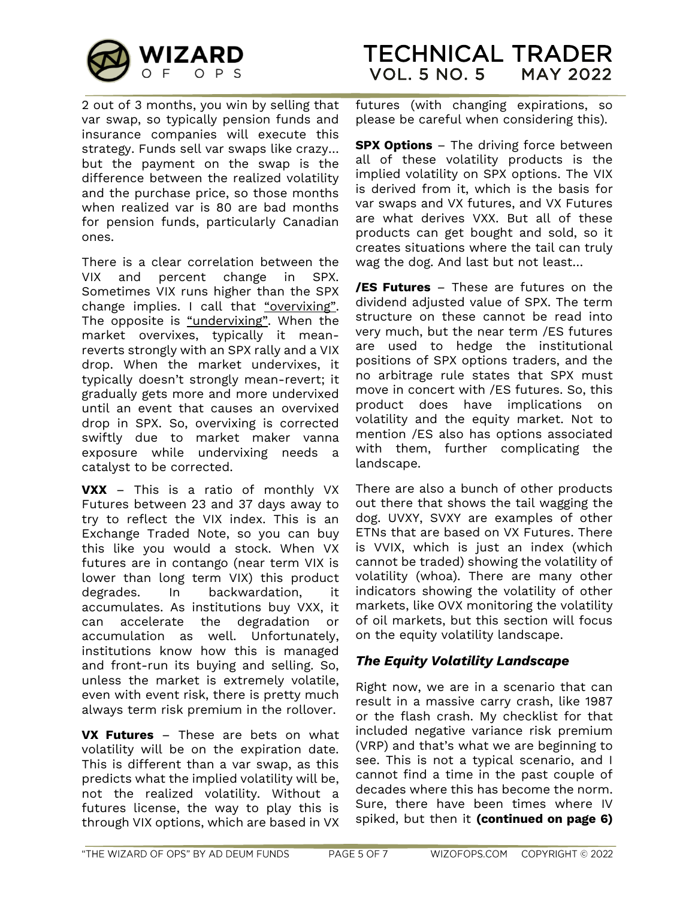

2 out of 3 months, you win by selling that var swap, so typically pension funds and insurance companies will execute this strategy. Funds sell var swaps like crazy… but the payment on the swap is the difference between the realized volatility and the purchase price, so those months when realized var is 80 are bad months for pension funds, particularly Canadian ones.

There is a clear correlation between the VIX and percent change in SPX. Sometimes VIX runs higher than the SPX change implies. I call that "overvixing". The opposite is "undervixing". When the market overvixes, typically it meanreverts strongly with an SPX rally and a VIX drop. When the market undervixes, it typically doesn't strongly mean-revert; it gradually gets more and more undervixed until an event that causes an overvixed drop in SPX. So, overvixing is corrected swiftly due to market maker vanna exposure while undervixing needs a catalyst to be corrected.

**VXX** – This is a ratio of monthly VX Futures between 23 and 37 days away to try to reflect the VIX index. This is an Exchange Traded Note, so you can buy this like you would a stock. When VX futures are in contango (near term VIX is lower than long term VIX) this product degrades. In backwardation, it accumulates. As institutions buy VXX, it can accelerate the degradation or accumulation as well. Unfortunately, institutions know how this is managed and front-run its buying and selling. So, unless the market is extremely volatile, even with event risk, there is pretty much always term risk premium in the rollover.

**VX Futures** – These are bets on what volatility will be on the expiration date. This is different than a var swap, as this predicts what the implied volatility will be, not the realized volatility. Without a futures license, the way to play this is through VIX options, which are based in VX futures (with changing expirations, so please be careful when considering this).

**SPX Options** – The driving force between all of these volatility products is the implied volatility on SPX options. The VIX is derived from it, which is the basis for var swaps and VX futures, and VX Futures are what derives VXX. But all of these products can get bought and sold, so it creates situations where the tail can truly wag the dog. And last but not least…

**/ES Futures** – These are futures on the dividend adjusted value of SPX. The term structure on these cannot be read into very much, but the near term /ES futures are used to hedge the institutional positions of SPX options traders, and the no arbitrage rule states that SPX must move in concert with /ES futures. So, this product does have implications on volatility and the equity market. Not to mention /ES also has options associated with them, further complicating the landscape.

There are also a bunch of other products out there that shows the tail wagging the dog. UVXY, SVXY are examples of other ETNs that are based on VX Futures. There is VVIX, which is just an index (which cannot be traded) showing the volatility of volatility (whoa). There are many other indicators showing the volatility of other markets, like OVX monitoring the volatility of oil markets, but this section will focus on the equity volatility landscape.

### <span id="page-4-0"></span>*The Equity Volatility Landscape*

Right now, we are in a scenario that can result in a massive carry crash, like 1987 or the flash crash. My checklist for that included negative variance risk premium (VRP) and that's what we are beginning to see. This is not a typical scenario, and I cannot find a time in the past couple of decades where this has become the norm. Sure, there have been times where IV spiked, but then it **(continued on page 6)**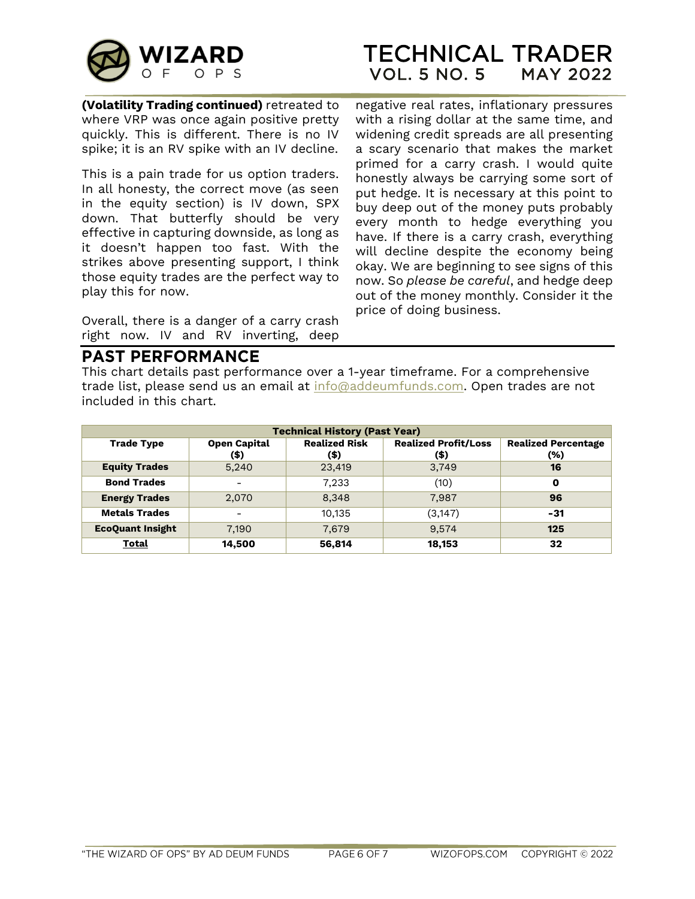

**(Volatility Trading continued)** retreated to where VRP was once again positive pretty quickly. This is different. There is no IV spike; it is an RV spike with an IV decline.

This is a pain trade for us option traders. In all honesty, the correct move (as seen in the equity section) is IV down, SPX down. That butterfly should be very effective in capturing downside, as long as it doesn't happen too fast. With the strikes above presenting support, I think those equity trades are the perfect way to play this for now.

Overall, there is a danger of a carry crash right now. IV and RV inverting, deep

negative real rates, inflationary pressures with a rising dollar at the same time, and widening credit spreads are all presenting a scary scenario that makes the market primed for a carry crash. I would quite honestly always be carrying some sort of put hedge. It is necessary at this point to buy deep out of the money puts probably every month to hedge everything you have. If there is a carry crash, everything will decline despite the economy being okay. We are beginning to see signs of this now. So *please be careful*, and hedge deep out of the money monthly. Consider it the price of doing business.

# **PAST PERFORMANCE**

This chart details past performance over a 1-year timeframe. For a comprehensive trade list, please send us an email at [info@addeumfunds.com.](mailto:info@addeumfunds.com) Open trades are not included in this chart.

| <b>Technical History (Past Year)</b> |                             |                              |                                        |                                   |
|--------------------------------------|-----------------------------|------------------------------|----------------------------------------|-----------------------------------|
| <b>Trade Type</b>                    | <b>Open Capital</b><br>(\$) | <b>Realized Risk</b><br>(\$) | <b>Realized Profit/Loss</b><br>$($ \$) | <b>Realized Percentage</b><br>(%) |
| <b>Equity Trades</b>                 | 5,240                       | 23,419                       | 3,749                                  | 16                                |
| <b>Bond Trades</b>                   | -                           | 7,233                        | (10)                                   | 0                                 |
| <b>Energy Trades</b>                 | 2,070                       | 8,348                        | 7.987                                  | 96                                |
| <b>Metals Trades</b>                 | $\overline{\phantom{a}}$    | 10.135                       | (3, 147)                               | $-31$                             |
| <b>EcoQuant Insight</b>              | 7,190                       | 7,679                        | 9,574                                  | 125                               |
| Total                                | 14,500                      | 56.814                       | 18,153                                 | 32                                |